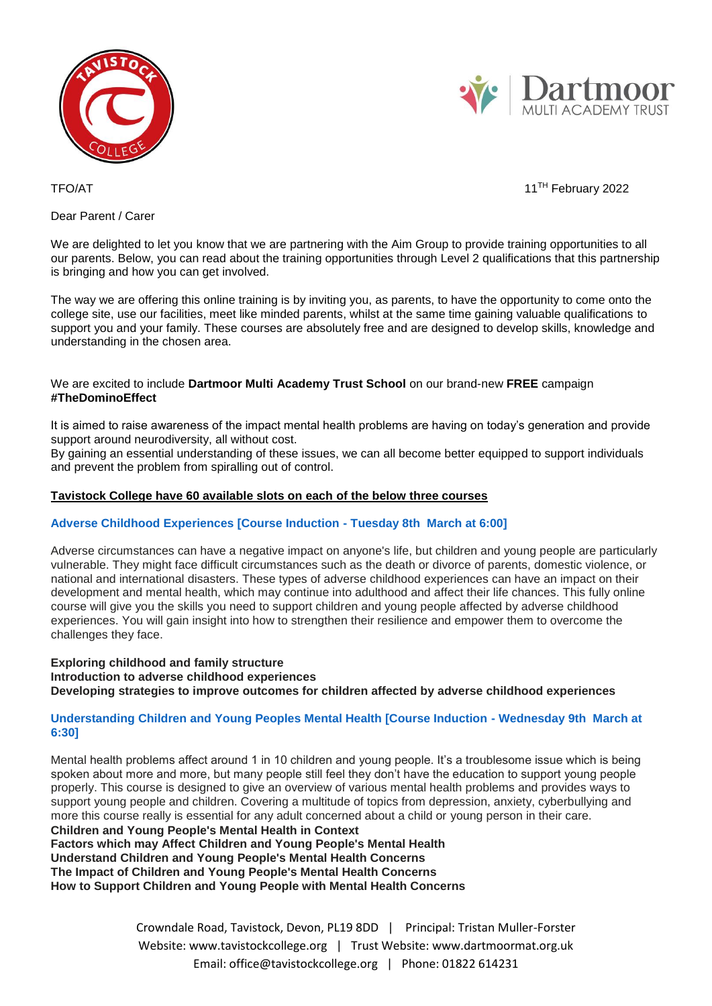



TFO/AT 11<sup>TH</sup> February 2022

Dear Parent / Carer

We are delighted to let you know that we are partnering with the Aim Group to provide training opportunities to all our parents. Below, you can read about the training opportunities through Level 2 qualifications that this partnership is bringing and how you can get involved.

The way we are offering this online training is by inviting you, as parents, to have the opportunity to come onto the college site, use our facilities, meet like minded parents, whilst at the same time gaining valuable qualifications to support you and your family. These courses are absolutely free and are designed to develop skills, knowledge and understanding in the chosen area.

# We are excited to include **Dartmoor Multi Academy Trust School** on our brand-new **FREE** campaign **#TheDominoEffect**

It is aimed to raise awareness of the impact mental health problems are having on today's generation and provide support around neurodiversity, all without cost.

By gaining an essential understanding of these issues, we can all become better equipped to support individuals and prevent the problem from spiralling out of control.

# **Tavistock College have 60 available slots on each of the below three courses**

# **Adverse Childhood Experiences [Course Induction - Tuesday 8th March at 6:00]**

Adverse circumstances can have a negative impact on anyone's life, but children and young people are particularly vulnerable. They might face difficult circumstances such as the death or divorce of parents, domestic violence, or national and international disasters. These types of adverse childhood experiences can have an impact on their development and mental health, which may continue into adulthood and affect their life chances. This fully online course will give you the skills you need to support children and young people affected by adverse childhood experiences. You will gain insight into how to strengthen their resilience and empower them to overcome the challenges they face.

#### **Exploring childhood and family structure Introduction to adverse childhood experiences Developing strategies to improve outcomes for children affected by adverse childhood experiences**

# **Understanding Children and Young Peoples Mental Health [Course Induction - Wednesday 9th March at 6:30]**

Mental health problems affect around 1 in 10 children and young people. It's a troublesome issue which is being spoken about more and more, but many people still feel they don't have the education to support young people properly. This course is designed to give an overview of various mental health problems and provides ways to support young people and children. Covering a multitude of topics from depression, anxiety, cyberbullying and more this course really is essential for any adult concerned about a child or young person in their care. **Children and Young People's Mental Health in Context**

**Factors which may Affect Children and Young People's Mental Health Understand Children and Young People's Mental Health Concerns The Impact of Children and Young People's Mental Health Concerns How to Support Children and Young People with Mental Health Concerns**

> Crowndale Road, Tavistock, Devon, PL19 8DD | Principal: Tristan Muller-Forster Website: www.tavistockcollege.org | Trust Website: www.dartmoormat.org.uk Email: office@tavistockcollege.org | Phone: 01822 614231